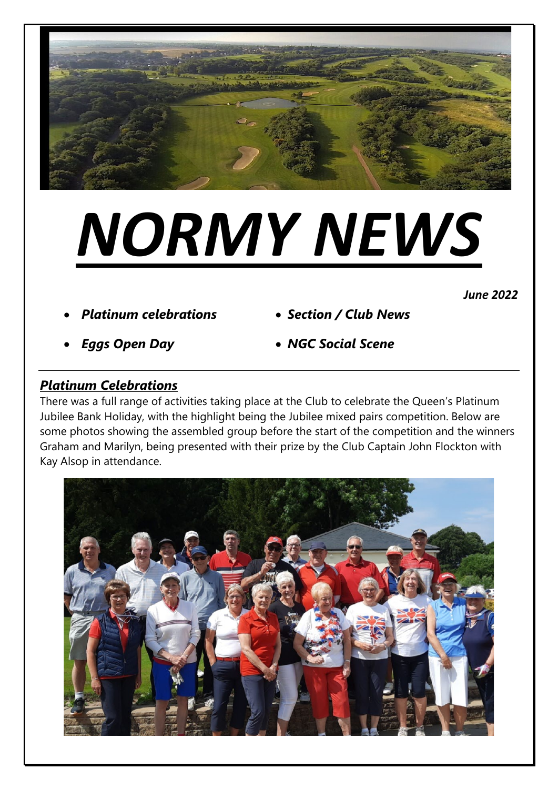

# *NORMY NEWS*

*June 2022* 

- *Platinum celebrations Section / Club News*
	-

- 
- *Eggs Open Day NGC Social Scene*

# *Platinum Celebrations*

There was a full range of activities taking place at the Club to celebrate the Queen's Platinum Jubilee Bank Holiday, with the highlight being the Jubilee mixed pairs competition. Below are some photos showing the assembled group before the start of the competition and the winners Graham and Marilyn, being presented with their prize by the Club Captain John Flockton with Kay Alsop in attendance.

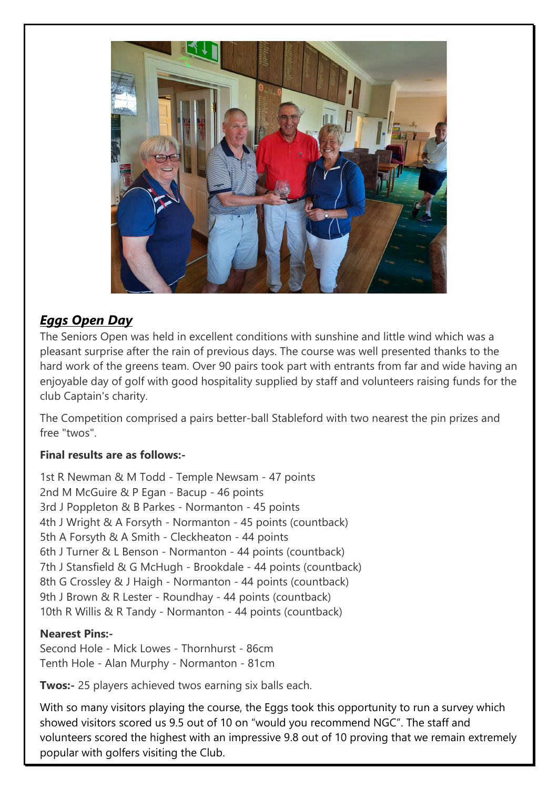

# *Eggs Open Day*

The Seniors Open was held in excellent conditions with sunshine and little wind which was a pleasant surprise after the rain of previous days. The course was well presented thanks to the hard work of the greens team. Over 90 pairs took part with entrants from far and wide having an enjoyable day of golf with good hospitality supplied by staff and volunteers raising funds for the club Captain's charity.

The Competition comprised a pairs better-ball Stableford with two nearest the pin prizes and free "twos".

# **Final results are as follows:-**

1st R Newman & M Todd - Temple Newsam - 47 points 2nd M McGuire & P Egan - Bacup - 46 points 3rd J Poppleton & B Parkes - Normanton - 45 points 4th J Wright & A Forsyth - Normanton - 45 points (countback) 5th A Forsyth & A Smith - Cleckheaton - 44 points 6th J Turner & L Benson - Normanton - 44 points (countback) 7th J Stansfield & G McHugh - Brookdale - 44 points (countback) 8th G Crossley & J Haigh - Normanton - 44 points (countback) 9th J Brown & R Lester - Roundhay - 44 points (countback) 10th R Willis & R Tandy - Normanton - 44 points (countback)

#### **Nearest Pins:-**

Second Hole - Mick Lowes - Thornhurst - 86cm Tenth Hole - Alan Murphy - Normanton - 81cm

**Twos:-** 25 players achieved twos earning six balls each.

With so many visitors playing the course, the Eggs took this opportunity to run a survey which showed visitors scored us 9.5 out of 10 on "would you recommend NGC". The staff and volunteers scored the highest with an impressive 9.8 out of 10 proving that we remain extremely popular with golfers visiting the Club.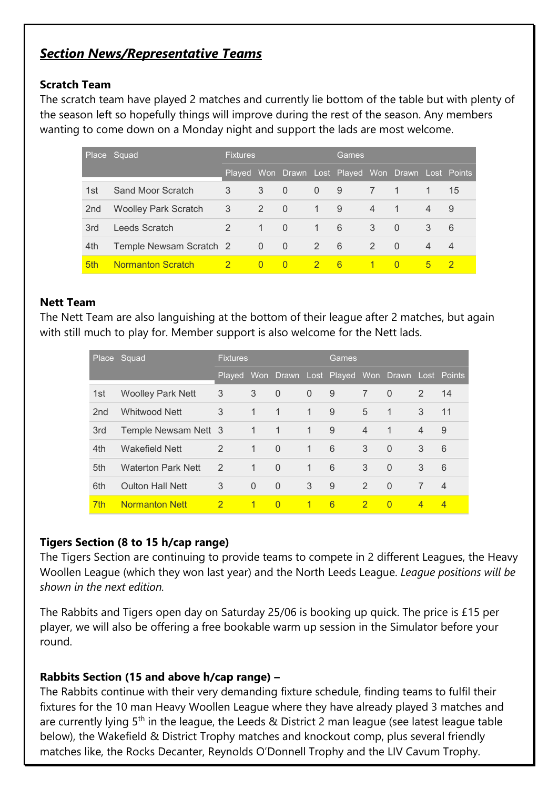# *Section News/Representative Teams*

### **Scratch Team**

The scratch team have played 2 matches and currently lie bottom of the table but with plenty of the season left so hopefully things will improve during the rest of the season. Any members wanting to come down on a Monday night and support the lads are most welcome.

|     | Place Squad                 | <b>Fixtures</b> |                |                | 'Games,        |                                                    |                |                |   |                |
|-----|-----------------------------|-----------------|----------------|----------------|----------------|----------------------------------------------------|----------------|----------------|---|----------------|
|     |                             |                 |                |                |                | Played Won Drawn Lost Played Won Drawn Lost Points |                |                |   |                |
| 1st | Sand Moor Scratch           | 3               | 3              | - 0            | $\overline{0}$ | 9                                                  | 7              | -1             |   | 15             |
| 2nd | <b>Woolley Park Scratch</b> | 3               | 2              | $\overline{0}$ | $\mathbf{1}$   | 9                                                  | $\overline{4}$ | $\overline{1}$ | 4 | 9              |
| 3rd | Leeds Scratch               | 2               | 1              | $\Omega$       | $\mathbf{1}$   | 6                                                  | 3              | $\Omega$       | 3 | 6              |
| 4th | Temple Newsam Scratch 2     |                 | $\overline{0}$ | $\overline{0}$ | 2              | 6                                                  | $\mathcal{P}$  | $\Omega$       | 4 | $\overline{4}$ |
| 5th | <b>Normanton Scratch</b>    | $\overline{2}$  | $\Omega$       | $\Omega$       |                | 6                                                  |                | $\Omega$       | 5 | -2             |

### **Nett Team**

The Nett Team are also languishing at the bottom of their league after 2 matches, but again with still much to play for. Member support is also welcome for the Nett lads.

|                 | Place Squad               | <b>Fixtures</b> |                |              |                | Games                                       |                |             |                |                |  |
|-----------------|---------------------------|-----------------|----------------|--------------|----------------|---------------------------------------------|----------------|-------------|----------------|----------------|--|
|                 |                           | <b>Played</b>   |                |              |                | Won Drawn Lost Played Won Drawn Lost Points |                |             |                |                |  |
| 1st             | <b>Woolley Park Nett</b>  | 3               | 3              | $\Omega$     | $\overline{0}$ | 9                                           | 7              | $\Omega$    | 2              | 14             |  |
| 2 <sub>nd</sub> | Whitwood Nett             | 3               | $\mathbf 1$    | $\mathbf 1$  | $\mathbf{1}$   | 9                                           | 5              | $\mathbf 1$ | 3              | 11             |  |
| 3rd             | Temple Newsam Nett 3      |                 | $\overline{1}$ | $\mathbf{1}$ | $\mathbf 1$    | 9                                           | $\overline{4}$ | -1          | $\overline{4}$ | 9              |  |
| 4th             | Wakefield Nett            | 2               | $\mathbf{1}$   | $\Omega$     | $\mathbf{1}$   | 6                                           | 3              | $\Omega$    | 3              | 6              |  |
| 5th             | <b>Waterton Park Nett</b> | 2               | $\mathbf 1$    | $\Omega$     | $\overline{1}$ | 6                                           | 3              | $\Omega$    | 3              | 6              |  |
| 6th             | <b>Oulton Hall Nett</b>   | 3               | $\Omega$       | $\Omega$     | 3              | 9                                           | 2              | $\Omega$    | 7              | $\overline{4}$ |  |
| 7 <sub>th</sub> | <b>Normanton Nett</b>     | $\overline{2}$  | 1              | $\Omega$     | $\overline{1}$ | 6                                           | $\overline{2}$ | $\Omega$    | $\overline{4}$ | $\overline{4}$ |  |

# **Tigers Section (8 to 15 h/cap range)**

The Tigers Section are continuing to provide teams to compete in 2 different Leagues, the Heavy Woollen League (which they won last year) and the North Leeds League. *League positions will be shown in the next edition.*

The Rabbits and Tigers open day on Saturday 25/06 is booking up quick. The price is £15 per player, we will also be offering a free bookable warm up session in the Simulator before your round.

# **Rabbits Section (15 and above h/cap range) –**

The Rabbits continue with their very demanding fixture schedule, finding teams to fulfil their fixtures for the 10 man Heavy Woollen League where they have already played 3 matches and are currently lying  $5<sup>th</sup>$  in the league, the Leeds & District 2 man league (see latest league table below), the Wakefield & District Trophy matches and knockout comp, plus several friendly matches like, the Rocks Decanter, Reynolds O'Donnell Trophy and the LIV Cavum Trophy.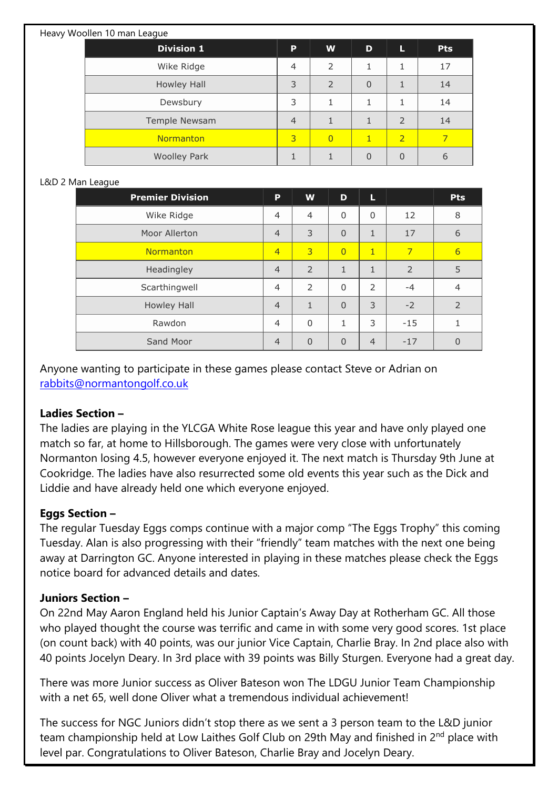| Heavy Woollen 10 man League |                |                |                |                |            |
|-----------------------------|----------------|----------------|----------------|----------------|------------|
| <b>Division 1</b>           | P              | W              | D              | L              | <b>Pts</b> |
| Wike Ridge                  | $\overline{4}$ | 2              | 1              |                | 17         |
| Howley Hall                 | 3              | 2              | $\overline{0}$ |                | 14         |
| Dewsbury                    |                | 1              | 1              |                | 14         |
| Temple Newsam               | $\overline{4}$ |                |                | 2              | 14         |
| Normanton                   | 3              | $\overline{0}$ | 1              | $\overline{2}$ | 7          |
| <b>Woolley Park</b>         |                |                | $\overline{0}$ | $\Omega$       | 6          |

#### L&D 2 Man League

| <b>Premier Division</b> | P              | W              | D              | L              |                | <b>Pts</b>     |
|-------------------------|----------------|----------------|----------------|----------------|----------------|----------------|
| Wike Ridge              | $\overline{4}$ | $\overline{4}$ | $\Omega$       | $\Omega$       | 12             | 8              |
| Moor Allerton           | $\overline{4}$ | 3              | $\Omega$       | $\mathbf{1}$   | 17             | 6              |
| Normanton               | $\overline{4}$ | 3              | $\overline{0}$ | $\mathbf{1}$   | $\overline{7}$ | 6              |
| Headingley              | $\overline{4}$ | $\overline{2}$ | $\mathbf{1}$   | $\mathbf{1}$   | 2              | 5              |
| Scarthingwell           | $\overline{4}$ | $\overline{2}$ | $\Omega$       | 2              | $-4$           | $\overline{4}$ |
| Howley Hall             | $\overline{4}$ | $\mathbf{1}$   | $\Omega$       | 3              | $-2$           | $\overline{2}$ |
| Rawdon                  | $\overline{4}$ | $\Omega$       | 1              | 3              | $-15$          | 1              |
| Sand Moor               | $\overline{4}$ | $\Omega$       | $\Omega$       | $\overline{4}$ | $-17$          |                |

Anyone wanting to participate in these games please contact Steve or Adrian on [rabbits@normantongolf.co.uk](mailto:rabbits@normantongolf.co.uk) 

#### **Ladies Section –**

The ladies are playing in the YLCGA White Rose league this year and have only played one match so far, at home to Hillsborough. The games were very close with unfortunately Normanton losing 4.5, however everyone enjoyed it. The next match is Thursday 9th June at Cookridge. The ladies have also resurrected some old events this year such as the Dick and Liddie and have already held one which everyone enjoyed.

# **Eggs Section –**

The regular Tuesday Eggs comps continue with a major comp "The Eggs Trophy" this coming Tuesday. Alan is also progressing with their "friendly" team matches with the next one being away at Darrington GC. Anyone interested in playing in these matches please check the Eggs notice board for advanced details and dates.

#### **Juniors Section –**

On 22nd May Aaron England held his Junior Captain's Away Day at Rotherham GC. All those who played thought the course was terrific and came in with some very good scores. 1st place (on count back) with 40 points, was our junior Vice Captain, Charlie Bray. In 2nd place also with 40 points Jocelyn Deary. In 3rd place with 39 points was Billy Sturgen. Everyone had a great day.

There was more Junior success as Oliver Bateson won The LDGU Junior Team Championship with a net 65, well done Oliver what a tremendous individual achievement!

The success for NGC Juniors didn't stop there as we sent a 3 person team to the L&D junior team championship held at Low Laithes Golf Club on 29th May and finished in 2<sup>nd</sup> place with level par. Congratulations to Oliver Bateson, Charlie Bray and Jocelyn Deary.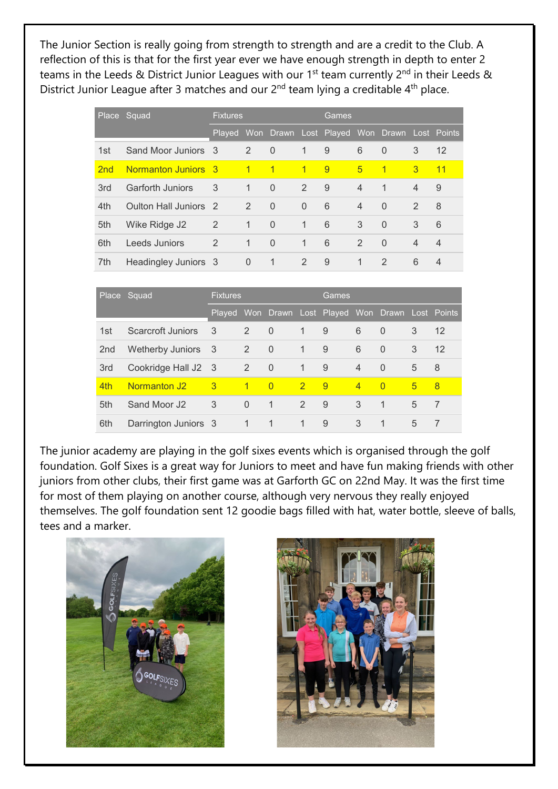The Junior Section is really going from strength to strength and are a credit to the Club. A reflection of this is that for the first year ever we have enough strength in depth to enter 2 teams in the Leeds & District Junior Leagues with our 1<sup>st</sup> team currently  $2^{nd}$  in their Leeds & District Junior League after 3 matches and our 2<sup>nd</sup> team lying a creditable 4<sup>th</sup> place.

|     | Place Squad             | <b>Fixtures</b>            |                |                | Games        |                                                    |                |               |                |                |
|-----|-------------------------|----------------------------|----------------|----------------|--------------|----------------------------------------------------|----------------|---------------|----------------|----------------|
|     |                         |                            |                |                |              | Played Won Drawn Lost Played Won Drawn Lost Points |                |               |                |                |
| 1st | Sand Moor Juniors 3     |                            | $\overline{2}$ | $\overline{0}$ | $\sqrt{1}$   | - 9                                                | 6              | $\Omega$      | 3              | 12             |
| 2nd | Normanton Juniors 3     |                            | $\overline{1}$ | $\overline{1}$ | $\mathbf{1}$ | $\overline{9}$                                     | $\sqrt{5}$     | $\mathbf{1}$  | 3              | 11             |
| 3rd | <b>Garforth Juniors</b> | 3                          | $\mathbf{1}$   | $\Omega$       | 2            | 9                                                  | $\overline{4}$ | $\mathbf{1}$  | $\overline{4}$ | 9              |
| 4th | Oulton Hall Juniors 2   |                            | 2              | $\Omega$       | $\mathbf{0}$ | 6                                                  | $\overline{4}$ | $\Omega$      | 2              | 8              |
| 5th | Wike Ridge J2           | $\overline{\phantom{0}}^2$ | 1              | $\Omega$       | $\mathbf{1}$ | 6                                                  | 3              | $\Omega$      | 3              | 6              |
| 6th | Leeds Juniors           | 2                          | $\mathbf{1}$   | $\Omega$       | $\mathbf{1}$ | 6                                                  | 2              | $\Omega$      | $\overline{4}$ | $\overline{4}$ |
| 7th | Headingley Juniors 3    |                            | $\Omega$       | 1              | 2            | 9                                                  | 1              | $\mathcal{P}$ | 6              | 4              |

|                 | Place Squad              | <b>Fixtures</b> |              |                | 'Games         |                                                    |                |                |   |    |
|-----------------|--------------------------|-----------------|--------------|----------------|----------------|----------------------------------------------------|----------------|----------------|---|----|
|                 |                          |                 |              |                |                | Played Won Drawn Lost Played Won Drawn Lost Points |                |                |   |    |
| 1st             | Scarcroft Juniors        | 3               | 2            | $\Omega$       | $\mathbf{1}$   | 9                                                  | 6              | $\Omega$       | 3 | 12 |
| 2 <sub>nd</sub> | Wetherby Juniors 3       |                 | 2            | $\Omega$       | $\mathbf{1}$   | 9                                                  | 6              | $\Omega$       | 3 | 12 |
| 3rd             | Cookridge Hall J2 3      |                 | 2            | $\Omega$       | 1              | 9                                                  | 4              | $\Omega$       | 5 | 8  |
| 4th             | Normanton J <sub>2</sub> | 3               | $\mathbf{1}$ | $\Omega$       | $\overline{2}$ | 9                                                  | $\overline{4}$ | $\Omega$       | 5 | 8  |
| 5th             | Sand Moor J <sub>2</sub> | 3               | $\Omega$     | $\top$         | $\overline{2}$ | 9                                                  | 3              | $\overline{1}$ | 5 | 7  |
| 6th             | Darrington Juniors 3     |                 | 1            | $\overline{1}$ | 1              | 9                                                  | 3              | -1             | 5 | 7  |

The junior academy are playing in the golf sixes events which is organised through the golf foundation. Golf Sixes is a great way for Juniors to meet and have fun making friends with other juniors from other clubs, their first game was at Garforth GC on 22nd May. It was the first time for most of them playing on another course, although very nervous they really enjoyed themselves. The golf foundation sent 12 goodie bags filled with hat, water bottle, sleeve of balls, tees and a marker.



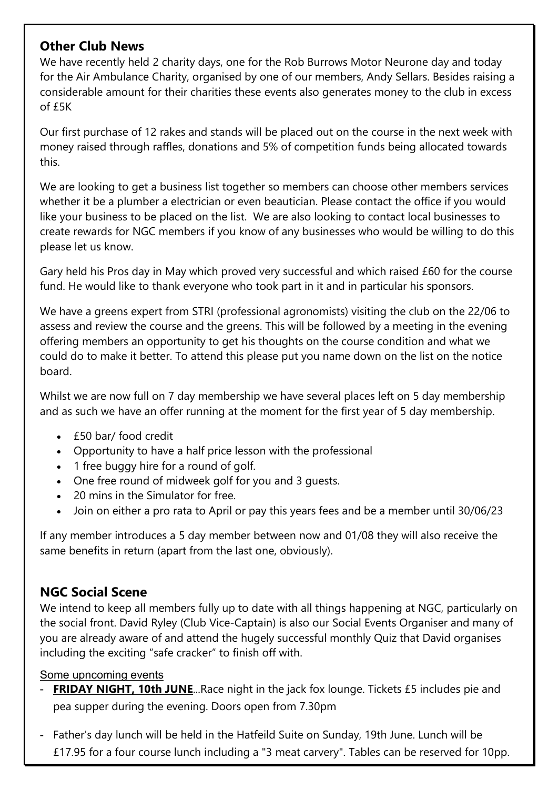# **Other Club News**

We have recently held 2 charity days, one for the Rob Burrows Motor Neurone day and today for the Air Ambulance Charity, organised by one of our members, Andy Sellars. Besides raising a considerable amount for their charities these events also generates money to the club in excess of £5K

Our first purchase of 12 rakes and stands will be placed out on the course in the next week with money raised through raffles, donations and 5% of competition funds being allocated towards this.

We are looking to get a business list together so members can choose other members services whether it be a plumber a electrician or even beautician. Please contact the office if you would like your business to be placed on the list. We are also looking to contact local businesses to create rewards for NGC members if you know of any businesses who would be willing to do this please let us know.

Gary held his Pros day in May which proved very successful and which raised £60 for the course fund. He would like to thank everyone who took part in it and in particular his sponsors.

We have a greens expert from STRI (professional agronomists) visiting the club on the 22/06 to assess and review the course and the greens. This will be followed by a meeting in the evening offering members an opportunity to get his thoughts on the course condition and what we could do to make it better. To attend this please put you name down on the list on the notice board.

Whilst we are now full on 7 day membership we have several places left on 5 day membership and as such we have an offer running at the moment for the first year of 5 day membership.

- £50 bar/ food credit
- Opportunity to have a half price lesson with the professional
- 1 free buggy hire for a round of golf.
- One free round of midweek golf for you and 3 guests.
- 20 mins in the Simulator for free.
- Join on either a pro rata to April or pay this years fees and be a member until 30/06/23

If any member introduces a 5 day member between now and 01/08 they will also receive the same benefits in return (apart from the last one, obviously).

# **NGC Social Scene**

We intend to keep all members fully up to date with all things happening at NGC, particularly on the social front. David Ryley (Club Vice-Captain) is also our Social Events Organiser and many of you are already aware of and attend the hugely successful monthly Quiz that David organises including the exciting "safe cracker" to finish off with.

#### Some upncoming events

- **FRIDAY NIGHT, 10th JUNE**...Race night in the jack fox lounge. Tickets £5 includes pie and pea supper during the evening. Doors open from 7.30pm
- Father's day lunch will be held in the Hatfeild Suite on Sunday, 19th June. Lunch will be £17.95 for a four course lunch including a "3 meat carvery". Tables can be reserved for 10pp.